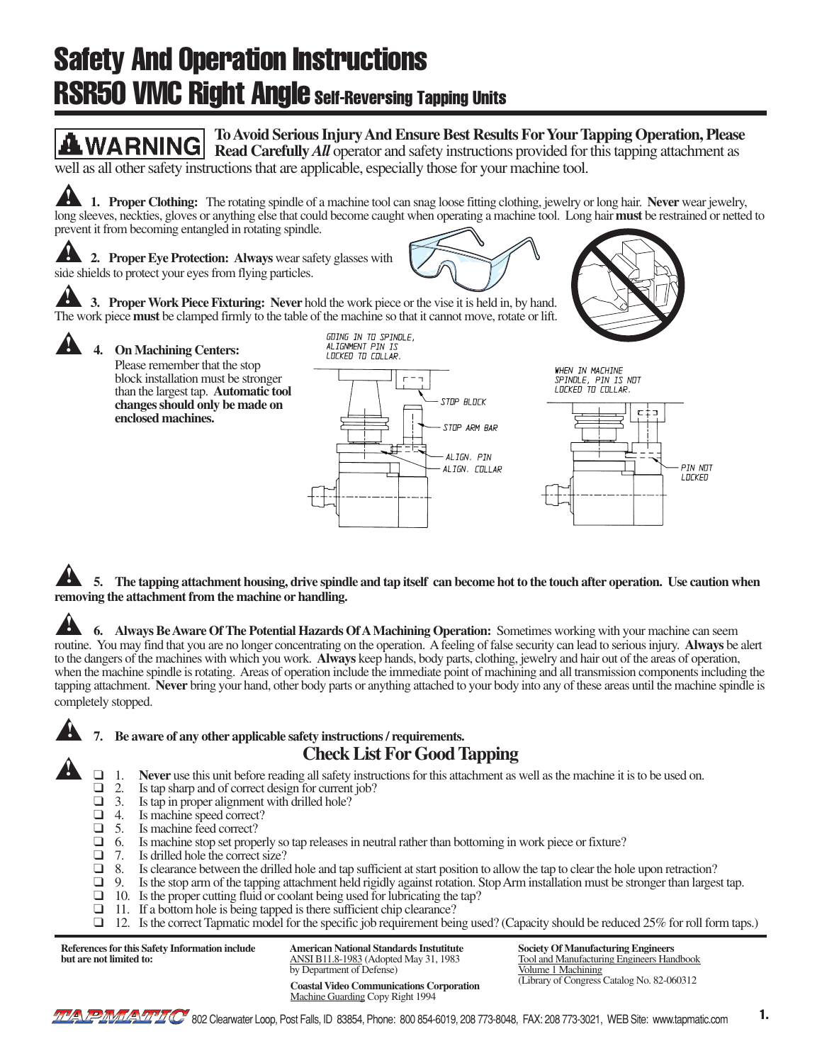# Safety And Operation Instructions **RSR50 VMC Right Angle Self-Reversing Tapping Units**



5. The tapping attachment housing, drive spindle and tap itself can become hot to the touch after operation. Use caution when **removing the attachment from the machine or handling. !**

**6. Always Be Aware Of The Potential Hazards Of A Machining Operation:** Sometimes working with your machine can seem routine. You may find that you are no longer concentrating on the operation. A feeling of false security can lead to serious injury. **Always** be alert to the dangers of the machines with which you work. **Always** keep hands, body parts, clothing, jewelry and hair out of the areas of operation, when the machine spindle is rotating. Areas of operation include the immediate point of machining and all transmission components including the tapping attachment. **Never** bring your hand, other body parts or anything attached to your body into any of these areas until the machine spindle is completely stopped. **!**

**!**

**!**

## Be aware of any other applicable safety instructions / requirements.

- **Check List For Good Tapping**<br>
1. **Never** use this unit before reading all safety instructions for this attachment as well as the machine it is to be used on.<br>
2. Is tap sharp and of correct design for current job?
- $\Box$  2. Is tap sharp and of correct design for current job?<br> $\Box$  3. Is tap in proper alignment with drilled hole?
- $\Box$  3. Is tap in proper alignment with drilled hole?<br> $\Box$  4. Is machine speed correct?
- $\Box$  4. Is machine speed correct?<br> $\Box$  5. Is machine feed correct?
- $\Box$  5. Is machine feed correct?<br> $\Box$  6. Is machine stop set proper
- $\Box$  6. Is machine stop set properly so tap releases in neutral rather than bottoming in work piece or fixture?<br> $\Box$  7. Is drilled hole the correct size?
- $\Box$  7. Is drilled hole the correct size?<br> $\Box$  8. Is clearance between the drilled
- $\Box$  8. Is clearance between the drilled hole and tap sufficient at start position to allow the tap to clear the hole upon retraction?<br> $\Box$  9. Is the stop arm of the tapping attachment held rigidly against rotation. Stop
- Is the stop arm of the tapping attachment held rigidly against rotation. Stop Arm installation must be stronger than largest tap.
- ❑ 10. Is the proper cutting fluid or coolant being used for lubricating the tap?
- ❑ 11. If a bottom hole is being tapped is there sufficient chip clearance?
- ❑ 12. Is the correct Tapmatic model for the specific job requirement being used? (Capacity should be reduced 25% for roll form taps.)

**References for this Safety Information include but are not limited to:**

(Library of Congress Catalog No. 82-060312 **Coastal Video Communications Corporation American National Standards Instutitute** ANSI B11.8-1983 (Adopted May 31, 1983 by Department of Defense)

Machine Guarding Copy Right 1994

**Society Of Manufacturing Engineers** Tool and Manufacturing Engineers Handbook Volume 1 Machining<br>(Library of Congress Catalog No. 82-060312)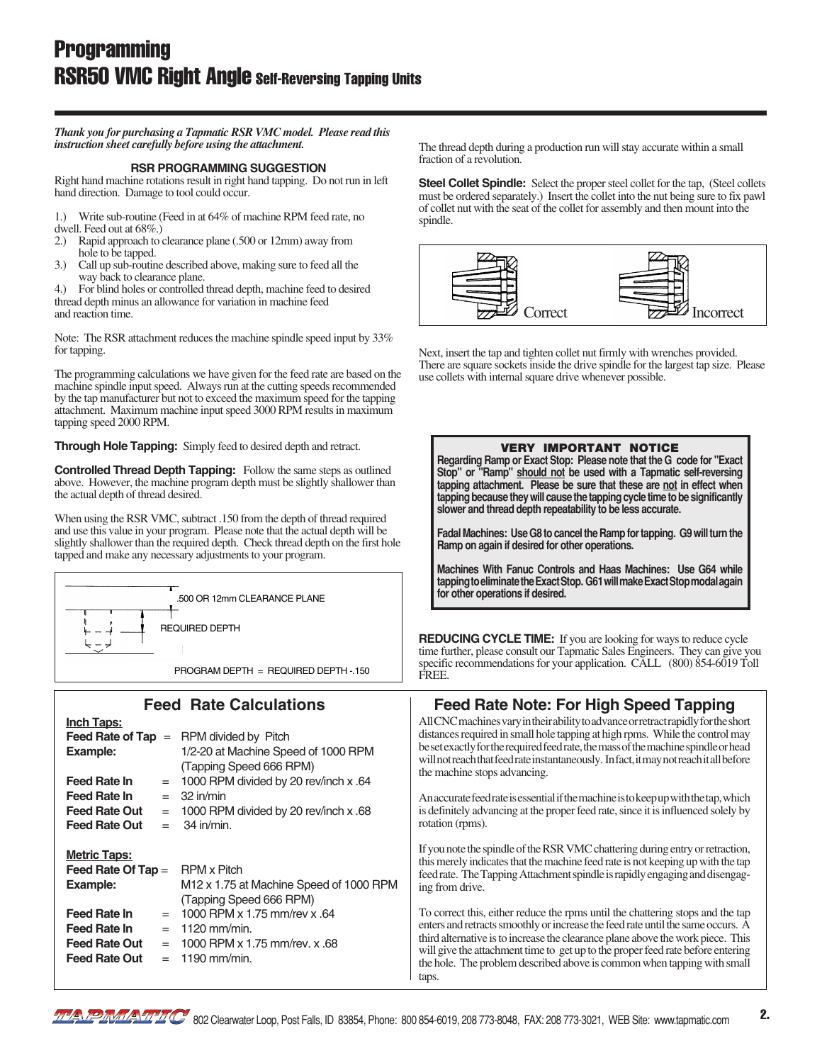**!** *instruction sheet carefully before using the attachment. Thank you for purchasing a Tapmatic RSR VMC model. Please read this*

#### **RSR PROGRAMMING SUGGESTION**

Right hand machine rotations result in right hand tapping. Do not run in left hand direction. Damage to tool could occur.

1.) Write sub-routine (Feed in at 64% of machine RPM feed rate, no dwell. Feed out at 68%.)<br>2.) Rapid approach to o

- Rapid approach to clearance plane (.500 or 12mm) away from hole to be tapped.
- 3.) Call up sub-routine described above, making sure to feed all the way back to clearance plane.

**!** thread depth minus an allowance for variation in machine feed 4.) For blind holes or controlled thread depth, machine feed to desired and reaction time.

Note: The RSR attachment reduces the machine spindle speed input by 33% for tapping.

The programming calculations we have given for the feed rate are based on the machine spindle input speed. Always run at the cutting speeds recommended by the tap manufacturer but not to exceed the maximum speed for the tapping attachment. Maximum machine input speed 3000 RPM results in maximum tapping speed 2000 RPM.

**Through Hole Tapping:** Simply feed to desired depth and retract.

**Controlled Thread Depth Tapping:** Follow the same steps as outlined above. However, the machine program depth must be slightly shallower than the actual depth of thread desired.

When using the RSR VMC, subtract .150 from the depth of thread required and use this value in your program. Please note that the actual depth will be slightly shallower than the required depth. Check thread depth on the first hole tapped and make any necessary adjustments to your program.



#### **Feed Rate Calculations Inch Taps: Feed Rate of Tap**  = RPM divided by Pitch **Example:** 1/2-20 at Machine Speed of 1000 RPM (Tapping Speed 666 RPM) **Feed Rate In** = 1000 RPM divided by 20 rev/inch x .64 **Feed Rate In** = 32 in/min **Feed Rate Out** = 1000 RPM divided by 20 rev/inch x .68 **Feed Rate Out** = 34 in/min. **Metric Taps: Feed Rate Of Tap = RPM x Pitch Example:** M12 x 1.75 at Machine Speed of 1000 RPM (Tapping Speed 666 RPM) **Feed Rate In**  $= 1000$  RPM x 1.75 mm/rev x .64 **Feed Rate In** = 1120 mm/min. **Feed Rate Out** = 1000 RPM x 1.75 mm/rev. x .68 **Feed Rate Out** = 1190 mm/min.

The thread depth during a production run will stay accurate within a small fraction of a revolution.

**Steel Collet Spindle:** Select the proper steel collet for the tap, (Steel collets must be ordered separately.) Insert the collet into the nut being sure to fix pawl of collet nut with the seat of the collet for assembly and then mount into the spindle.



Next, insert the tap and tighten collet nut firmly with wrenches provided. There are square sockets inside the drive spindle for the largest tap size. Please use collets with internal square drive whenever possible.



2.

taps.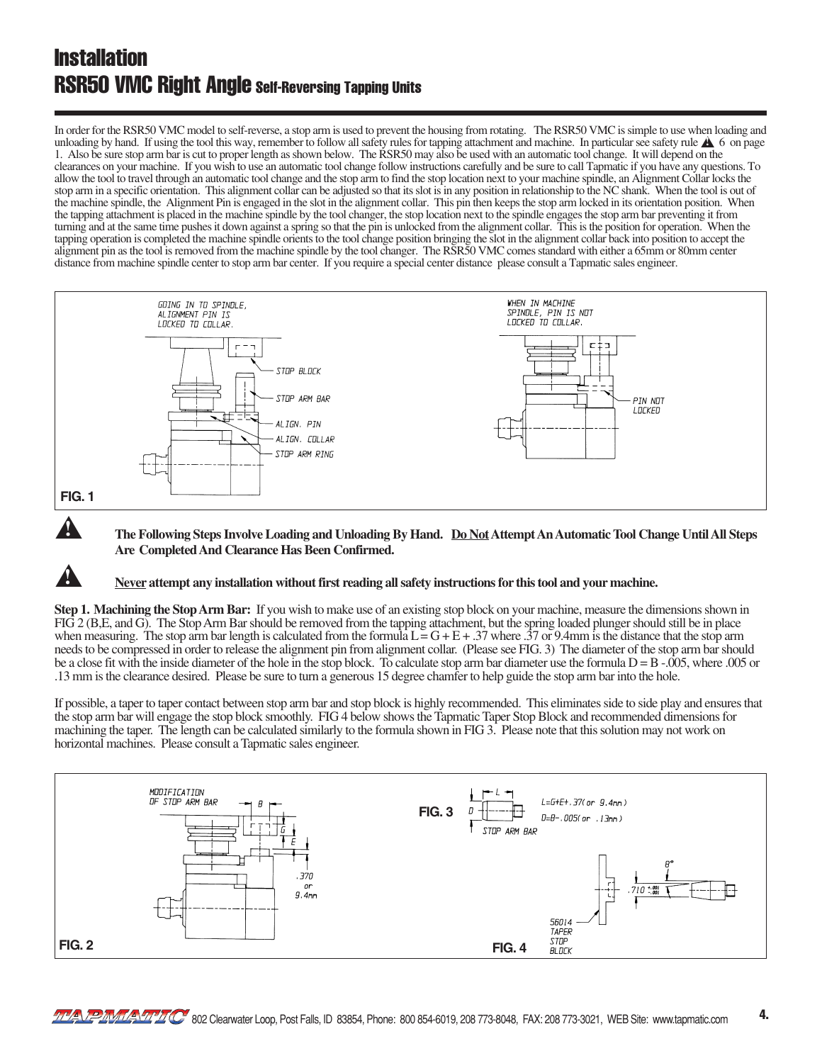### **Installation** RSR50 VMC Right Angle Self-Reversing Tapping Units

**!**

In order for the RSR50 VMC model to self-reverse, a stop arm is used to prevent the housing from rotating. The RSR50 VMC is simple to use when loading and unloading by hand. If using the tool this way, remember to follow all safety rules for tapping attachment and machine. In particular see safety rule  $\triangle$  6 on page 1. Also be sure stop arm bar is cut to proper length as shown below. The RSR50 may also be used with an automatic tool change. It will depend on the clearances on your machine. If you wish to use an automatic tool change follow instructions carefully and be sure to call Tapmatic if you have any questions. To allow the tool to travel through an automatic tool change and the stop arm to find the stop location next to your machine spindle, an Alignment Collar locks the stop arm in a specific orientation. This alignment collar can be adjusted so that its slot is in any position in relationship to the NC shank. When the tool is out of the machine spindle, the Alignment Pin is engaged in the slot in the alignment collar. This pin then keeps the stop arm locked in its orientation position. When the tapping attachment is placed in the machine spindle by the tool changer, the stop location next to the spindle engages the stop arm bar preventing it from turning and at the same time pushes it down against a spring so that the pin is unlocked from the alignment collar. This is the position for operation. When the tapping operation is completed the machine spindle orients to the tool change position bringing the slot in the alignment collar back into position to accept the alignment pin as the tool is removed from the machine spindle by the tool changer. The RSR50 VMC comes standard with either a 65mm or 80mm center distance from machine spindle center to stop arm bar center. If you require a special center distance please consult a Tapmatic sales engineer.



▲ **The Following Steps Involve Loading and Unloading By Hand. Do Not Attempt An Automatic Tool Change Until All Steps Are Completed And Clearance Has Been Confirmed.**

#### **Never attempt any installation without first reading all safety instructions for this tool and your machine.**

**Step 1. Machining the Stop Arm Bar:** If you wish to make use of an existing stop block on your machine, measure the dimensions shown in FIG 2 (B,E, and G). The Stop Arm Bar should be removed from the tapping attachment, but the spring loaded plunger should still be in place when measuring. The stop arm bar length is calculated from the formula  $L = G + E + .37$  where  $.37$  or 9.4mm is the distance that the stop arm needs to be compressed in order to release the alignment pin from alignment collar. (Please see FIG. 3) The diameter of the stop arm bar should be a close fit with the inside diameter of the hole in the stop block. To calculate stop arm bar diameter use the formula  $D = B - .005$ , where .005 or .13 mm is the clearance desired. Please be sure to turn a generous 15 degree chamfer to help guide the stop arm bar into the hole.

If possible, a taper to taper contact between stop arm bar and stop block is highly recommended. This eliminates side to side play and ensures that the stop arm bar will engage the stop block smoothly. FIG 4 below shows the Tapmatic Taper Stop Block and recommended dimensions for machining the taper. The length can be calculated similarly to the formula shown in FIG 3. Please note that this solution may not work on horizontal machines. Please consult a Tapmatic sales engineer.

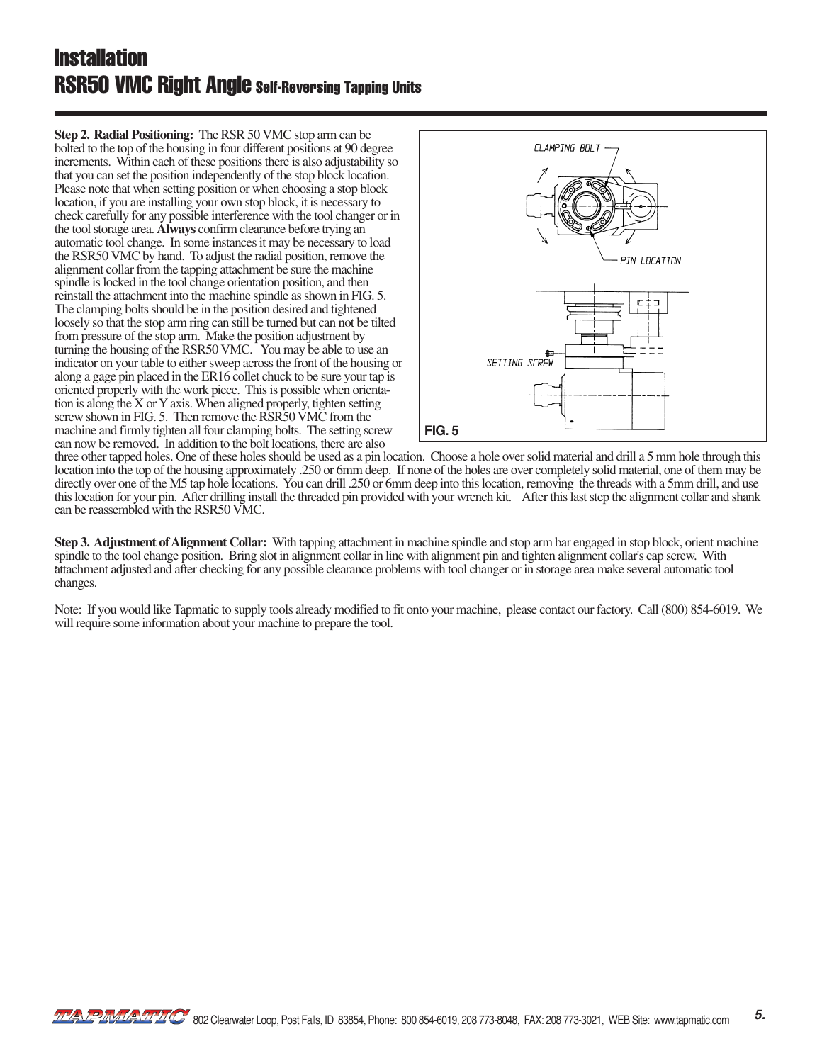### **Installation** RSR50 VMC Right Angle Self-Reversing Tapping Units

**Step 2. Radial Positioning:** The RSR 50 VMC stop arm can be bolted to the top of the housing in four different positions at 90 degree increments. Within each of these positions there is also adjustability so that you can set the position independently of the stop block location. Please note that when setting position or when choosing a stop block location, if you are installing your own stop block, it is necessary to check carefully for any possible interference with the tool changer or in the tool storage area. **Always** confirm clearance before trying an automatic tool change. In some instances it may be necessary to load the RSR50 VMC by hand. To adjust the radial position, remove the alignment collar from the tapping attachment be sure the machine spindle is locked in the tool change orientation position, and then reinstall the attachment into the machine spindle as shown in FIG. 5. The clamping bolts should be in the position desired and tightened loosely so that the stop arm ring can still be turned but can not be tilted from pressure of the stop arm. Make the position adjustment by turning the housing of the RSR50 VMC. You may be able to use an indicator on your table to either sweep across the front of the housing or along a gage pin placed in the ER16 collet chuck to be sure your tap is oriented properly with the work piece. This is possible when orientation is along the X or Y axis. When aligned properly, tighten setting screw shown in FIG. 5. Then remove the RSR50 VMC from the machine and firmly tighten all four clamping bolts. The setting screw can now be removed. In addition to the bolt locations, there are also



three other tapped holes. One of these holes should be used as a pin location. Choose a hole over solid material and drill a 5 mm hole through this location into the top of the housing approximately .250 or 6mm deep. If none of the holes are over completely solid material, one of them may be directly over one of the M5 tap hole locations. You can drill .250 or 6mm deep into this location, removing the threads with a 5mm drill, and use this location for your pin. After drilling install the threaded pin provided with your wrench kit. After this last step the alignment collar and shank can be reassembled with the RSR50 VMC.

**Step 3. Adjustment of Alignment Collar:** With tapping attachment in machine spindle and stop arm bar engaged in stop block, orient machine spindle to the tool change position. Bring slot in alignment collar in line with alignment pin and tighten alignment collar's cap screw. With attachment adjusted and after checking for any possible clearance problems with tool changer or in storage area make several automatic tool changes.

Note: If you would like Tapmatic to supply tools already modified to fit onto your machine, please contact our factory. Call (800) 854-6019. We will require some information about your machine to prepare the tool.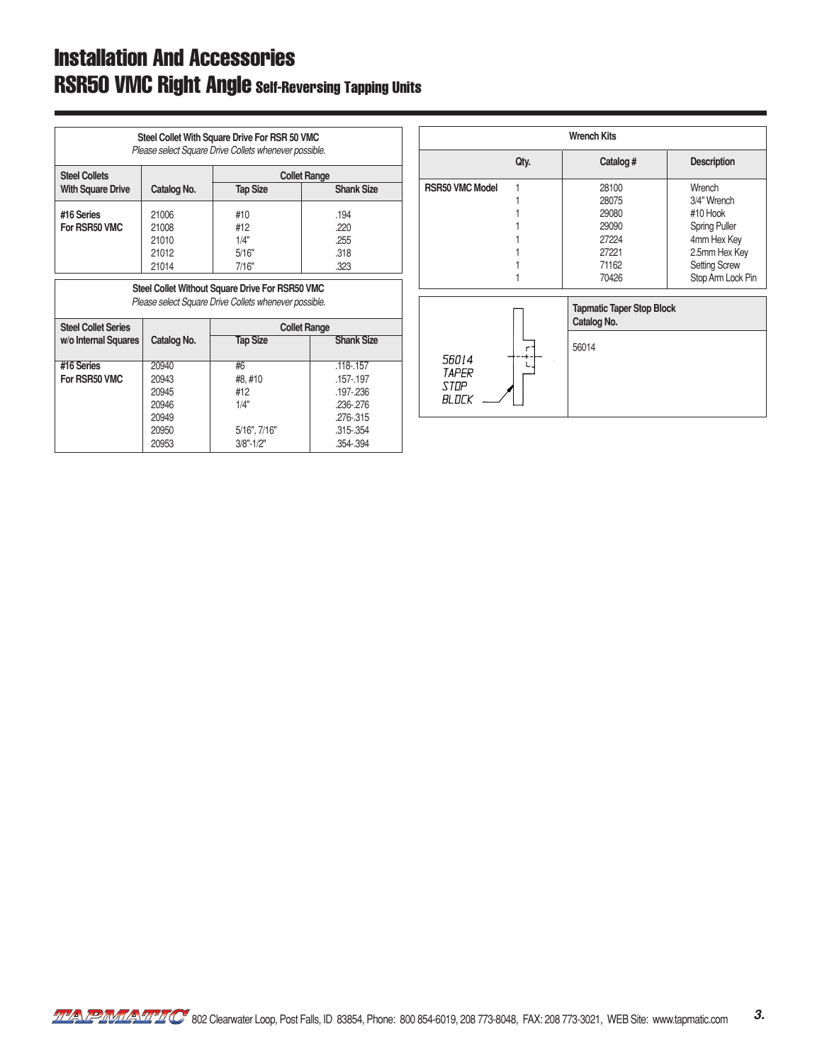## Installation And Accessories RSR50 VMC Right Angle Self-Reversing Tapping Units

| Steel Collet With Square Drive For RSR 50 VMC<br>Please select Square Drive Collets whenever possible. |                                                                              |                     |                   |  |
|--------------------------------------------------------------------------------------------------------|------------------------------------------------------------------------------|---------------------|-------------------|--|
| <b>Steel Collets</b>                                                                                   |                                                                              | <b>Collet Range</b> |                   |  |
| <b>With Square Drive</b>                                                                               | Catalog No.                                                                  | <b>Tap Size</b>     | <b>Shank Size</b> |  |
| #16 Series                                                                                             | 21006                                                                        | #10                 | .194              |  |
| For RSR50 VMC                                                                                          | 21008                                                                        | #12                 | .220              |  |
|                                                                                                        | 21010                                                                        | 1/4"                | .255              |  |
|                                                                                                        | 21012                                                                        | 5/16"               | .318              |  |
|                                                                                                        | 21014                                                                        | 7/16"               | .323              |  |
| <b>Steel Collet Series</b>                                                                             | Please select Square Drive Collets whenever possible.<br><b>Collet Range</b> |                     |                   |  |
| w/o Internal Squares                                                                                   | Catalog No.                                                                  | <b>Tap Size</b>     | <b>Shank Size</b> |  |
| #16 Series                                                                                             | 20940                                                                        | #6                  | $.118 - .157$     |  |
| For RSR50 VMC                                                                                          | 20943                                                                        | #8.#10              | .157-.197         |  |
|                                                                                                        | 20945                                                                        | #12                 | .197-.236         |  |
|                                                                                                        | 20946                                                                        | 1/4"                | .236-.276         |  |
|                                                                                                        | 20949                                                                        |                     | .276-.315         |  |
|                                                                                                        | 20950                                                                        | 5/16", 7/16"        | .315-.354         |  |
|                                                                                                        | 20953                                                                        | $3/8" - 1/2"$       | .354-.394         |  |

| <b>Wrench Kits</b>                                                                               |      |                                                                      |                                                                                                                                        |  |
|--------------------------------------------------------------------------------------------------|------|----------------------------------------------------------------------|----------------------------------------------------------------------------------------------------------------------------------------|--|
|                                                                                                  | Qty. | Catalog #                                                            | <b>Description</b>                                                                                                                     |  |
| <b>RSR50 VMC Model</b>                                                                           |      | 28100<br>28075<br>29080<br>29090<br>27224<br>27221<br>71162<br>70426 | Wrench<br>3/4" Wrench<br>#10 Hook<br><b>Spring Puller</b><br>4mm Hex Key<br>2.5mm Hex Key<br><b>Setting Screw</b><br>Stop Arm Lock Pin |  |
| <b>Tapmatic Taper Stop Block</b><br>Catalog No.<br>56014<br>п<br>56014<br>TAPFR<br>STOP<br>BLOCK |      |                                                                      |                                                                                                                                        |  |